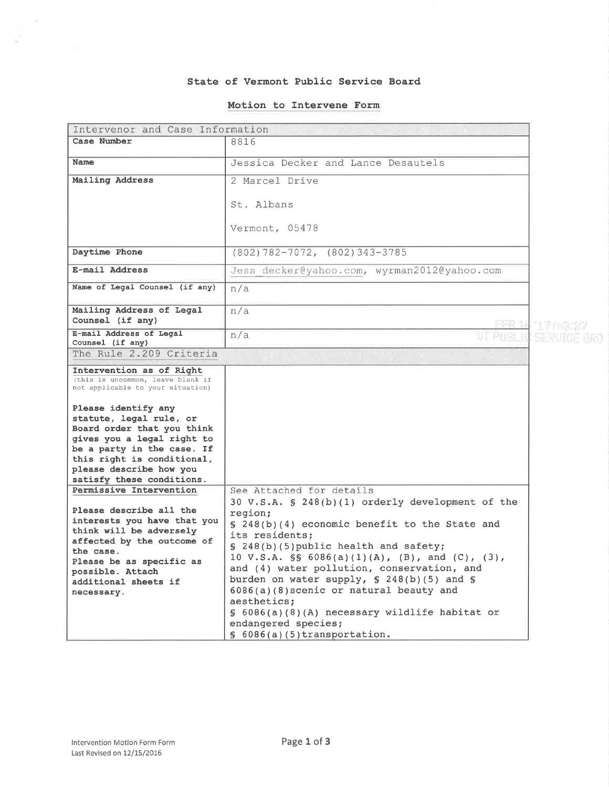#### State of Vermont Pub1ic Service Board

### Motion to Intervene Form

| Intervenor and Case Information                                                                                                                                                                                                               |                                                                                                                                                                                                                                                                                                                                                                                                                                                                                                                           |                 |  |
|-----------------------------------------------------------------------------------------------------------------------------------------------------------------------------------------------------------------------------------------------|---------------------------------------------------------------------------------------------------------------------------------------------------------------------------------------------------------------------------------------------------------------------------------------------------------------------------------------------------------------------------------------------------------------------------------------------------------------------------------------------------------------------------|-----------------|--|
| Case Number                                                                                                                                                                                                                                   | 8816                                                                                                                                                                                                                                                                                                                                                                                                                                                                                                                      |                 |  |
| Name                                                                                                                                                                                                                                          | Jessica Decker and Lance Desautels                                                                                                                                                                                                                                                                                                                                                                                                                                                                                        |                 |  |
| Mailing Address                                                                                                                                                                                                                               | 2 Marcel Drive                                                                                                                                                                                                                                                                                                                                                                                                                                                                                                            |                 |  |
|                                                                                                                                                                                                                                               | St. Albans                                                                                                                                                                                                                                                                                                                                                                                                                                                                                                                |                 |  |
|                                                                                                                                                                                                                                               | Vermont, 05478                                                                                                                                                                                                                                                                                                                                                                                                                                                                                                            |                 |  |
| Daytime Phone                                                                                                                                                                                                                                 | $(802) 782 - 7072, (802) 343 - 3785$                                                                                                                                                                                                                                                                                                                                                                                                                                                                                      |                 |  |
| E-mail Address                                                                                                                                                                                                                                | Jess decker@yahoo.com, wyrman2012@yahoo.com                                                                                                                                                                                                                                                                                                                                                                                                                                                                               |                 |  |
| Name of Legal Counsel (if any)                                                                                                                                                                                                                | n/a                                                                                                                                                                                                                                                                                                                                                                                                                                                                                                                       |                 |  |
| Mailing Address of Legal<br>Counsel (if any)                                                                                                                                                                                                  | n/a                                                                                                                                                                                                                                                                                                                                                                                                                                                                                                                       | FEB 11 17 PIBI3 |  |
| E-mail Address of Legal<br>Counsel (if any)                                                                                                                                                                                                   | n/a                                                                                                                                                                                                                                                                                                                                                                                                                                                                                                                       | SERUICE BRD     |  |
| The Rule 2.209 Criteria                                                                                                                                                                                                                       |                                                                                                                                                                                                                                                                                                                                                                                                                                                                                                                           |                 |  |
| Intervention as of Right<br>(this is uncommon, leave blank if<br>not applicable to your situation)                                                                                                                                            |                                                                                                                                                                                                                                                                                                                                                                                                                                                                                                                           |                 |  |
| Please identify any<br>statute, legal rule, or<br>Board order that you think<br>gives you a legal right to<br>be a party in the case. If<br>this right is conditional,<br>please describe how you<br>satisfy these conditions.                |                                                                                                                                                                                                                                                                                                                                                                                                                                                                                                                           |                 |  |
| Permissive Intervention<br>Please describe all the<br>interests you have that you<br>think will be adversely<br>affected by the outcome of<br>the case.<br>Please be as specific as<br>possible. Attach<br>additional sheets if<br>necessary. | See Attached for details<br>30 V.S.A. § 248(b)(1) orderly development of the<br>region;<br>$\S$ 248(b)(4) economic benefit to the State and<br>its residents;<br>§ 248(b)(5) public health and safety;<br>10 V.S.A. $\$ 6086(a)(1)(A), (B), and (C), (3),<br>and (4) water pollution, conservation, and<br>burden on water supply, $$ 248(b)(5)$ and $$$<br>6086(a)(8) scenic or natural beauty and<br>aesthetics;<br>§ 6086(a)(8)(A) necessary wildlife habitat or<br>endangered species;<br>§ 6086(a)(5)transportation. |                 |  |

 $\bar{\epsilon}^{\alpha}_{\perp}$ 

 $\mathcal{P}^{\mathcal{S}}_i$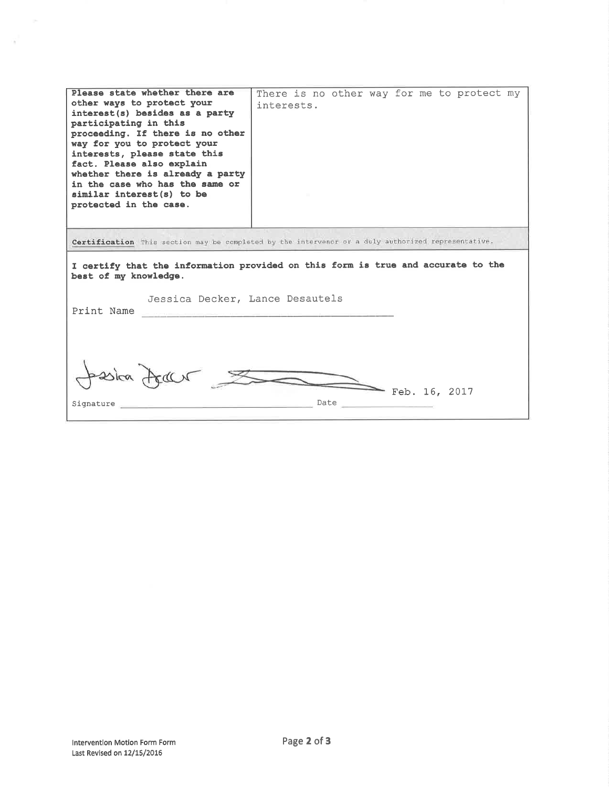| Please state whether there are<br>other ways to protect your<br>interest(s) besides as a party<br>participating in this<br>proceeding. If there is no other<br>way for you to protect your<br>interests, please state this<br>fact. Please also explain<br>whether there is already a party<br>in the case who has the same or<br>similar interest(s) to be<br>protected in the case. | There is no other way for me to protect my<br>interests. |  |
|---------------------------------------------------------------------------------------------------------------------------------------------------------------------------------------------------------------------------------------------------------------------------------------------------------------------------------------------------------------------------------------|----------------------------------------------------------|--|
| Certification This section may be completed by the intervenor or a duly authorized representative.                                                                                                                                                                                                                                                                                    |                                                          |  |
| I certify that the information provided on this form is true and accurate to the<br>best of my knowledge.                                                                                                                                                                                                                                                                             |                                                          |  |
| Jessica Decker, Lance Desautels<br>Print Name                                                                                                                                                                                                                                                                                                                                         |                                                          |  |
|                                                                                                                                                                                                                                                                                                                                                                                       |                                                          |  |

J.

 $\alpha$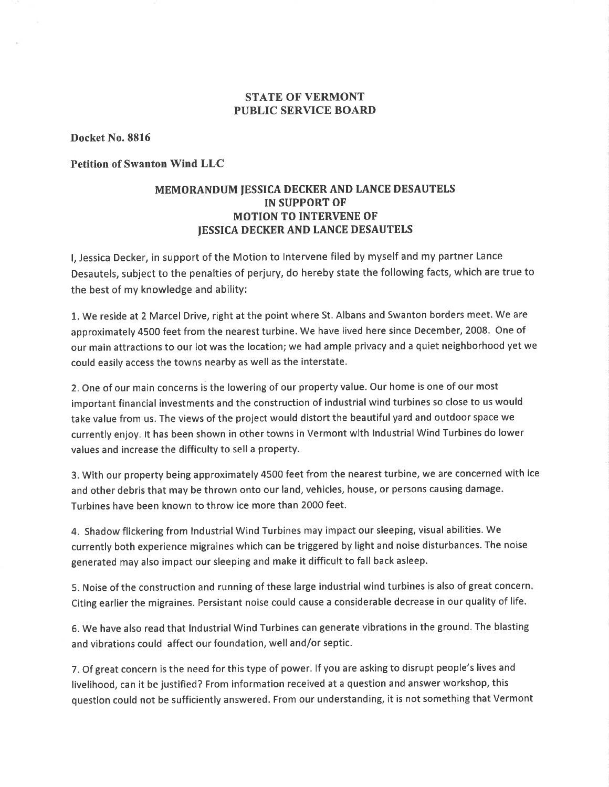# STATE OF VERMONT PUBLIC SERVICE BOARD

Docket No. 8816

Petition of Swanton Wind LLC

# MEMORANDUM IESSICA DECKERAND LANCE DESAUTELS IN SUPPORT OF MOTION TO INTERVENE OF **IESSICA DECKER AND LANCE DESAUTELS**

l, Jessica Decker, in support of the Motion to lntervene filed by myself and my partner Lance Desautels, subject to the penalties of perjury, do hereby state the following facts, which are true to the best of my knowledge and ability:

1. We reside at 2 Marcel Drive, right at the point where St. Albans and Swanton borders meet. We are approximately 4500 feet from the nearest turbine. We have lived here since December, 2008. One of our main attractions to our lot was the location; we had ample privacy and a quiet neighborhood yet we could easily access the towns nearby as well as the interstate.

2. One of our main concerns is the lowering of our property value. Our home is one of our most important financial investments and the construction of industrial wind turbines so close to us would take value from us. The views of the project would distort the beautiful yard and outdoor space we currently enjoy. lt has been shown in other towns in Vermont with lndustrial Wind Turbines do lower values and increase the difficulty to sell a property.

3. With our property being approximately 4500 feet from the nearest turbine, we are concerned with ice and other debris that may be thrown onto our land, vehicles, house, or persons causing damage. Turbines have been known to throw ice more than 2000 feet.

4. Shadow flickering from lndustrial Wind Turbines may impact our sleeping, visual abilities. We currently both experience migraines which can be triggered by light and noise disturbances. The noise generated may also impact our sleeping and make it difficult to fall back asleep.

5. Noise of the construction and running of these large industrial wind turbines is also of great concern Citing earlier the migraines. Persistant noise could cause a considerable decrease in our quality of life.

6. We have also read that Industrial Wind Turbines can generate vibrations in the ground. The blasting and vibrations could affect our foundation, well and/or septic.

7. Of great concern is the need for this type of power. lf you are asking to disrupt people's lives and livelihood, can it be justified? From information received at a question and answer workshop, this question could not be sufficiently answered. From our understanding, it is not something that Vermont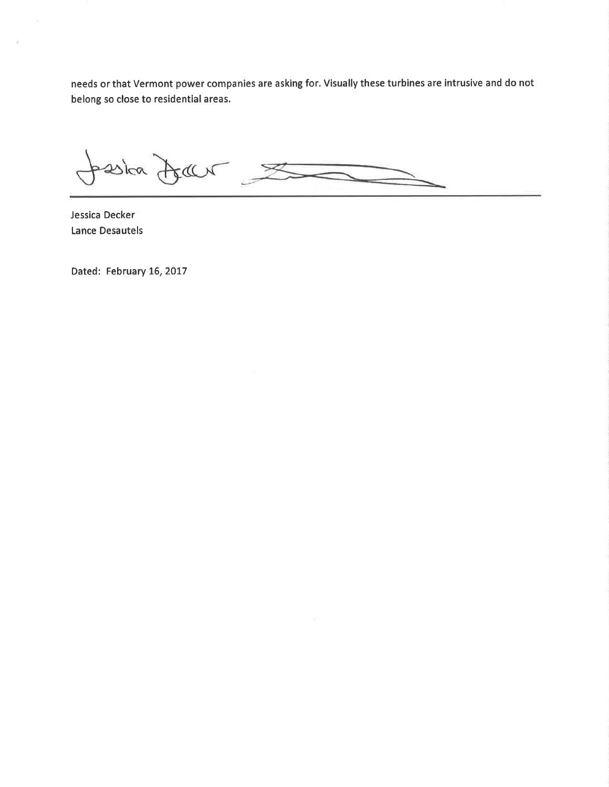needs or that Vermont power companies are asking for. Visually these turbines are intrusive and do not belong so close to residential areas.

pseitra Jean

Jessica Decker Lance Desautels

ū

Dated: February 16, 2017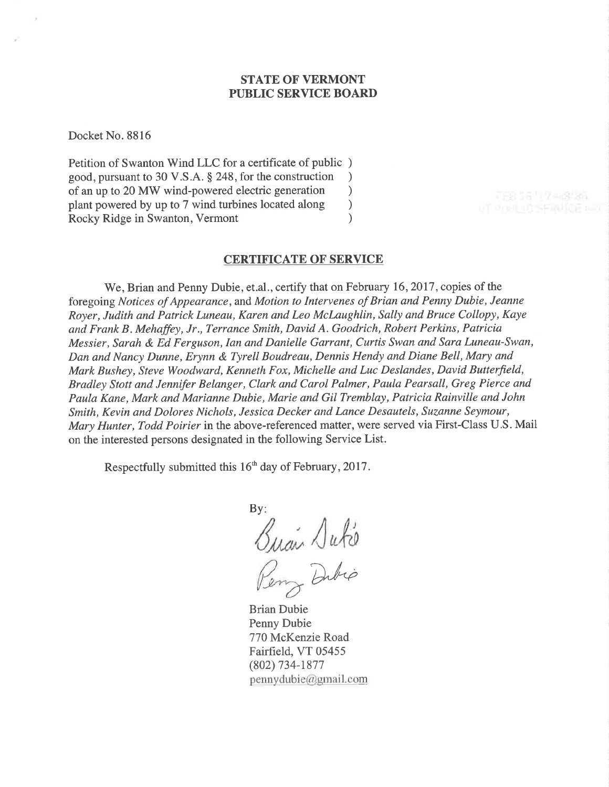## STATE OF VERMONT PUBLIC SERVICE BOARD

Docket No. 8816

Petition of Swanton Wind LLC for a certificate of public ) good, pursuant to 30 V.S.A. \$ 248, for the construction ) of an up to 20 MW wind-powered electric generation <br>plant powered by up to 7 wind turbines located along ) plant powered by up to 7 wind turbines located along ) Rocky Ridge in Swanton, Vermont (1998)

### CERTIFICATE OF SERVICE

We, Brian and Penny Dubie, et.al., certify that on February 16, 2017, copies of the foregoing Notices of Appearance, and Motion to Intervenes of Brian and Penny Dubie, Jeanne Royer, Judith and Patrick Luneau, Karen and Leo Mclaughlin, Sally and Bruce Collopy, Kaye and Frank B . Mehaffey, Jr., Terrance Smith, David A. Goodrich, Robert Perkins, Patricia Messier, Sarah & Ed Ferguson, Ian and Danielle Garrant, Curtis Swan and Sara Luneau-Swan, Dan and Nancy Dunne, Erynn & Tyrell Boudreau, Dennis Hendy and Diane Bell, Mary and Mark Bushey, Steve Woodward, Kenneth Fox, Michelle and Luc Deslandes, David Butterfield, Bradley Stott and Jennifer Belanger, Clark and Carol Palmer, Paula Pearsall, Greg Pierce and Paula Kane, Mark and Marianne Dubie, Marie and Gil Tremblay, Patricia Rainville and John Smith, Kevin and Dolores Nichols, Jessica Decker and Lance Desautels, Suzanne Seymour, Mary Hunter, Todd Poirier in the above-referenced matter, were served via First-Class U.S. Mail on the interested persons designated in the following Service List.

Respectfully submitted this 16<sup>th</sup> day of February, 2017.

 $By:$ Buan Dute Dibio

Brian Dubie Penny Dubie 770 McKenzie Road Fairfïeld, VT 05455 (802) 734-1877 pennydubie@gmail.com